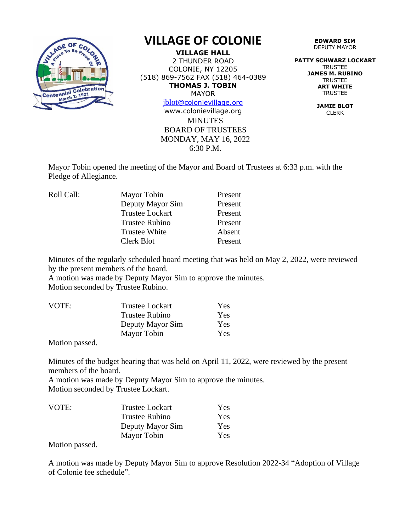

## **VILLAGE OF COLONIE**

**VILLAGE HALL** 2 THUNDER ROAD COLONIE, NY 12205 (518) 869-7562 FAX (518) 464-0389 **THOMAS J. TOBIN** MAYOR

[jblot](mailto:jblot@colonievillage.org)[@colonievillage.org](mailto:jblot@colonievillage.org)

**MINUTES** BOARD OF TRUSTEES MONDAY, MAY 16, 2022 6:30 P.M. www.colonievillage.org

**EDWARD SIM** DEPUTY MAYOR

**PATTY SCHWARZ LOCKART** TRUSTEE **JAMES M. RUBINO TRUSTEE ART WHITE** TRUSTEE

> **JAMIE BLOT** CLERK

Mayor Tobin opened the meeting of the Mayor and Board of Trustees at 6:33 p.m. with the Pledge of Allegiance.

| Mayor Tobin            | Present |
|------------------------|---------|
| Deputy Mayor Sim       | Present |
| <b>Trustee Lockart</b> | Present |
| <b>Trustee Rubino</b>  | Present |
| <b>Trustee White</b>   | Absent  |
| Clerk Blot             | Present |
|                        |         |

Minutes of the regularly scheduled board meeting that was held on May 2, 2022, were reviewed by the present members of the board.

A motion was made by Deputy Mayor Sim to approve the minutes. Motion seconded by Trustee Rubino.

| Trustee Lockart  | Yes. |
|------------------|------|
| Trustee Rubino   | Yes. |
| Deputy Mayor Sim | Yes. |
| Mayor Tobin      | Yes. |
|                  |      |

Motion passed.

Minutes of the budget hearing that was held on April 11, 2022, were reviewed by the present members of the board.

A motion was made by Deputy Mayor Sim to approve the minutes. Motion seconded by Trustee Lockart.

| <b>Trustee Lockart</b> | Yes |
|------------------------|-----|
| Trustee Rubino         | Yes |
| Deputy Mayor Sim       | Yes |
| Mayor Tobin            | Yes |
|                        |     |

Motion passed.

A motion was made by Deputy Mayor Sim to approve Resolution 2022-34 "Adoption of Village of Colonie fee schedule".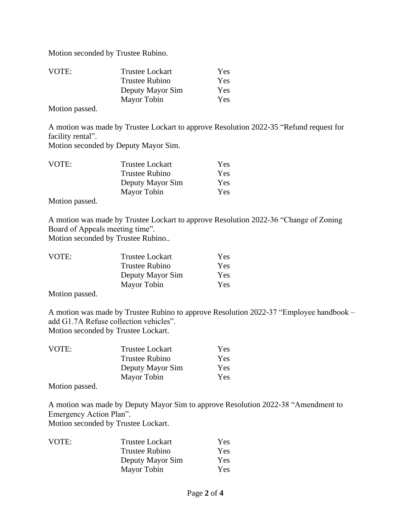Motion seconded by Trustee Rubino.

| <b>Trustee Lockart</b> | Yes |
|------------------------|-----|
| Trustee Rubino         | Yes |
| Deputy Mayor Sim       | Yes |
| Mayor Tobin            | Yes |
|                        |     |

Motion passed.

A motion was made by Trustee Lockart to approve Resolution 2022-35 "Refund request for facility rental".

Motion seconded by Deputy Mayor Sim.

| VOTE: | <b>Trustee Lockart</b> | Yes |
|-------|------------------------|-----|
|       | <b>Trustee Rubino</b>  | Yes |
|       | Deputy Mayor Sim       | Yes |
|       | Mayor Tobin            | Yes |

Motion passed.

A motion was made by Trustee Lockart to approve Resolution 2022-36 "Change of Zoning Board of Appeals meeting time".

Motion seconded by Trustee Rubino..

| VOTE: | <b>Trustee Lockart</b> | Yes |
|-------|------------------------|-----|
|       | <b>Trustee Rubino</b>  | Yes |
|       | Deputy Mayor Sim       | Yes |
|       | Mayor Tobin            | Yes |
|       |                        |     |

Motion passed.

A motion was made by Trustee Rubino to approve Resolution 2022-37 "Employee handbook – add G1.7A Refuse collection vehicles". Motion seconded by Trustee Lockart.

| <b>Trustee Lockart</b> | Yes |
|------------------------|-----|
| <b>Trustee Rubino</b>  | Yes |
| Deputy Mayor Sim       | Yes |
| Mayor Tobin            | Yes |
|                        |     |

Motion passed.

A motion was made by Deputy Mayor Sim to approve Resolution 2022-38 "Amendment to Emergency Action Plan".

Motion seconded by Trustee Lockart.

| VOTE: | <b>Trustee Lockart</b> | Yes        |
|-------|------------------------|------------|
|       | <b>Trustee Rubino</b>  | <b>Yes</b> |
|       | Deputy Mayor Sim       | Yes        |
|       | Mayor Tobin            | <b>Yes</b> |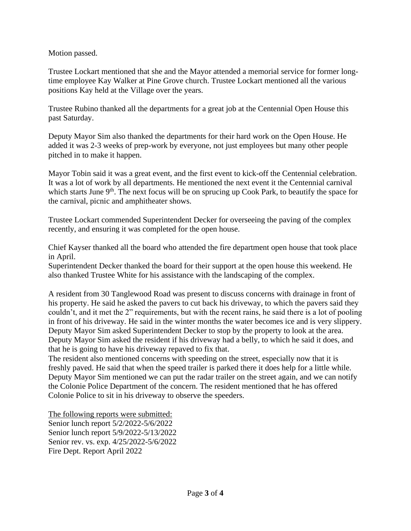Motion passed.

Trustee Lockart mentioned that she and the Mayor attended a memorial service for former longtime employee Kay Walker at Pine Grove church. Trustee Lockart mentioned all the various positions Kay held at the Village over the years.

Trustee Rubino thanked all the departments for a great job at the Centennial Open House this past Saturday.

Deputy Mayor Sim also thanked the departments for their hard work on the Open House. He added it was 2-3 weeks of prep-work by everyone, not just employees but many other people pitched in to make it happen.

Mayor Tobin said it was a great event, and the first event to kick-off the Centennial celebration. It was a lot of work by all departments. He mentioned the next event it the Centennial carnival which starts June  $9<sup>th</sup>$ . The next focus will be on sprucing up Cook Park, to beautify the space for the carnival, picnic and amphitheater shows.

Trustee Lockart commended Superintendent Decker for overseeing the paving of the complex recently, and ensuring it was completed for the open house.

Chief Kayser thanked all the board who attended the fire department open house that took place in April.

Superintendent Decker thanked the board for their support at the open house this weekend. He also thanked Trustee White for his assistance with the landscaping of the complex.

A resident from 30 Tanglewood Road was present to discuss concerns with drainage in front of his property. He said he asked the pavers to cut back his driveway, to which the pavers said they couldn't, and it met the 2" requirements, but with the recent rains, he said there is a lot of pooling in front of his driveway. He said in the winter months the water becomes ice and is very slippery. Deputy Mayor Sim asked Superintendent Decker to stop by the property to look at the area. Deputy Mayor Sim asked the resident if his driveway had a belly, to which he said it does, and that he is going to have his driveway repaved to fix that.

The resident also mentioned concerns with speeding on the street, especially now that it is freshly paved. He said that when the speed trailer is parked there it does help for a little while. Deputy Mayor Sim mentioned we can put the radar trailer on the street again, and we can notify the Colonie Police Department of the concern. The resident mentioned that he has offered Colonie Police to sit in his driveway to observe the speeders.

The following reports were submitted: Senior lunch report 5/2/2022-5/6/2022 Senior lunch report 5/9/2022-5/13/2022 Senior rev. vs. exp. 4/25/2022-5/6/2022 Fire Dept. Report April 2022